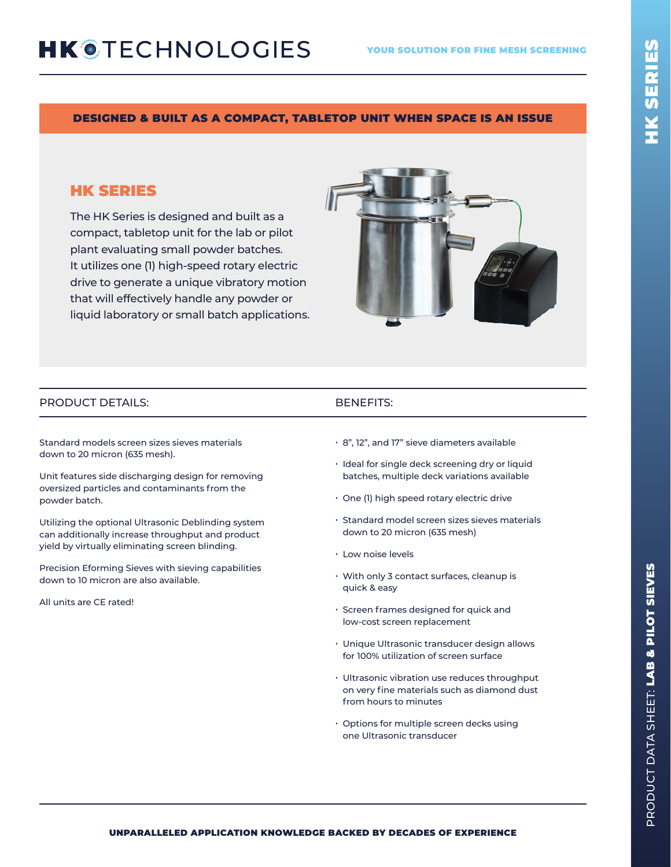# **HKOTECHNOLOGIES**

### YOUR SOLUTION FOR FINE MESH SCREENING

### DESIGNED & BUILT AS A COMPACT, TABLETOP UNIT WHEN SPACE IS AN ISSUE

# HK SERIES

The HK Series is designed and built as a compact, tabletop unit for the lab or pilot plant evaluating small powder batches. It utilizes one (1) high-speed rotary electric drive to generate a unique vibratory motion that will effectively handle any powder or liquid laboratory or small batch applications.



# PRODUCT DETAILS: BENEFITS:

Standard models screen sizes sieves materials down to 20 micron (635 mesh).

Unit features side discharging design for removing oversized particles and contaminants from the powder batch.

Utilizing the optional Ultrasonic Deblinding system can additionally increase throughput and product yield by virtually eliminating screen blinding.

Precision Eforming Sieves with sieving capabilities down to 10 micron are also available.

All units are CE rated!

- 8", 12", and 17" sieve diameters available
- Ideal for single deck screening dry or liquid batches, multiple deck variations available
- One (1) high speed rotary electric drive
- Standard model screen sizes sieves materials down to 20 micron (635 mesh)
- Low noise levels
- With only 3 contact surfaces, cleanup is quick & easy
- Screen frames designed for quick and low-cost screen replacement
- Unique Ultrasonic transducer design allows for 100% utilization of screen surface
- Ultrasonic vibration use reduces throughput on very fine materials such as diamond dust from hours to minutes
- Options for multiple screen decks using one Ultrasonic transducer